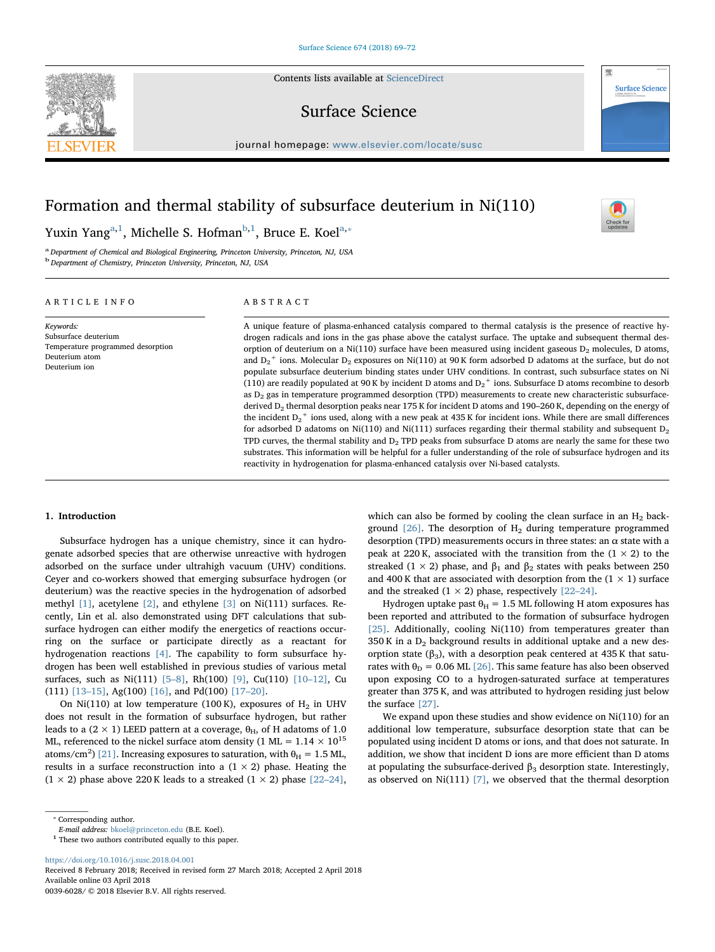Contents lists available at [ScienceDirect](http://www.sciencedirect.com/science/journal/00396028)

# Surface Science

journal homepage: [www.elsevier.com/locate/susc](https://www.elsevier.com/locate/susc)

# Formation and thermal stability of subsurface deuterium in Ni(110)

Yuxin Yang<sup>[a,](#page-0-0)[1](#page-0-1)</sup>, Michelle S. Hofman<sup>[b](#page-0-2),1</sup>, Bruce E. Koel<sup>[a](#page-0-0),</sup>\*

<span id="page-0-2"></span><span id="page-0-0"></span><sup>a</sup> Department of Chemical and Biological Engineering, Princeton University, Princeton, NJ, USA <sup>b</sup> Department of Chemistry, Princeton University, Princeton, NJ, USA

# ARTICLE INFO

Temperature programmed desorption

Keywords: Subsurface deuterium

Deuterium atom Deuterium ion

ABSTRACT

A unique feature of plasma-enhanced catalysis compared to thermal catalysis is the presence of reactive hydrogen radicals and ions in the gas phase above the catalyst surface. The uptake and subsequent thermal desorption of deuterium on a Ni(110) surface have been measured using incident gaseous  $D_2$  molecules, D atoms, and D<sub>2</sub><sup>+</sup> ions. Molecular D<sub>2</sub> exposures on Ni(110) at 90 K form adsorbed D adatoms at the surface, but do not populate subsurface deuterium binding states under UHV conditions. In contrast, such subsurface states on Ni (110) are readily populated at 90 K by incident D atoms and  $D_2$ <sup>+</sup> ions. Subsurface D atoms recombine to desorb as  $D_2$  gas in temperature programmed desorption (TPD) measurements to create new characteristic subsurfacederived  $D_2$  thermal desorption peaks near 175 K for incident D atoms and 190–260 K, depending on the energy of the incident  $D_2$ <sup>+</sup> ions used, along with a new peak at 435 K for incident ions. While there are small differences for adsorbed D adatoms on Ni(110) and Ni(111) surfaces regarding their thermal stability and subsequent  $D_2$ TPD curves, the thermal stability and  $D_2$  TPD peaks from subsurface D atoms are nearly the same for these two substrates. This information will be helpful for a fuller understanding of the role of subsurface hydrogen and its reactivity in hydrogenation for plasma-enhanced catalysis over Ni-based catalysts.

#### 1. Introduction

Subsurface hydrogen has a unique chemistry, since it can hydrogenate adsorbed species that are otherwise unreactive with hydrogen adsorbed on the surface under ultrahigh vacuum (UHV) conditions. Ceyer and co-workers showed that emerging subsurface hydrogen (or deuterium) was the reactive species in the hydrogenation of adsorbed methyl [\[1\],](#page-3-0) acetylene [\[2\]](#page-3-1), and ethylene [\[3\]](#page-3-2) on Ni(111) surfaces. Recently, Lin et al. also demonstrated using DFT calculations that subsurface hydrogen can either modify the energetics of reactions occurring on the surface or participate directly as a reactant for hydrogenation reactions [\[4\].](#page-3-3) The capability to form subsurface hydrogen has been well established in previous studies of various metal surfaces, such as Ni(111) [5–[8\],](#page-3-4) Rh(100) [\[9\]](#page-3-5), Cu(110) [10–[12\],](#page-3-6) Cu (111) [\[13](#page-3-7)–15], Ag(100) [\[16\],](#page-3-8) and Pd(100) [\[17](#page-3-9)–20].

On Ni(110) at low temperature (100 K), exposures of  $H_2$  in UHV does not result in the formation of subsurface hydrogen, but rather leads to a (2 × 1) LEED pattern at a coverage,  $\theta_H$ , of H adatoms of 1.0 ML, referenced to the nickel surface atom density (1 ML =  $1.14 \times 10^{15}$ atoms/cm<sup>2</sup>) [\[21\]](#page-3-10). Increasing exposures to saturation, with  $\theta_{\rm H} = 1.5$  ML, results in a surface reconstruction into a  $(1 \times 2)$  phase. Heating the  $(1 \times 2)$  phase above 220 K leads to a streaked  $(1 \times 2)$  phase  $[22-24]$  $[22-24]$ ,

which can also be formed by cooling the clean surface in an  $H_2$  background  $[26]$ . The desorption of  $H<sub>2</sub>$  during temperature programmed desorption (TPD) measurements occurs in three states: an  $\alpha$  state with a peak at 220 K, associated with the transition from the  $(1 \times 2)$  to the streaked (1 × 2) phase, and  $\beta_1$  and  $\beta_2$  states with peaks between 250 and 400 K that are associated with desorption from the  $(1 \times 1)$  surface and the streaked  $(1 \times 2)$  phase, respectively [22–[24\].](#page-3-11)

Hydrogen uptake past  $\theta_H = 1.5$  ML following H atom exposures has been reported and attributed to the formation of subsurface hydrogen [\[25\]](#page-3-13). Additionally, cooling Ni(110) from temperatures greater than  $350$  K in a  $D_2$  background results in additional uptake and a new desorption state ( $β_3$ ), with a desorption peak centered at 435 K that saturates with  $\theta_D = 0.06$  ML [\[26\].](#page-3-12) This same feature has also been observed upon exposing CO to a hydrogen-saturated surface at temperatures greater than 375 K, and was attributed to hydrogen residing just below the surface [\[27\].](#page-3-14)

We expand upon these studies and show evidence on Ni(110) for an additional low temperature, subsurface desorption state that can be populated using incident D atoms or ions, and that does not saturate. In addition, we show that incident D ions are more efficient than D atoms at populating the subsurface-derived  $β_3$  desorption state. Interestingly, as observed on Ni(111) [\[7\]](#page-3-15), we observed that the thermal desorption

<span id="page-0-3"></span>⁎ Corresponding author.

<span id="page-0-1"></span> $^{\rm 1}$  These two authors contributed equally to this paper.

<https://doi.org/10.1016/j.susc.2018.04.001>

Received 8 February 2018; Received in revised form 27 March 2018; Accepted 2 April 2018 Available online 03 April 2018 0039-6028/ © 2018 Elsevier B.V. All rights reserved.



**Surface Science** 

E-mail address: [bkoel@princeton.edu](mailto:bkoel@princeton.edu) (B.E. Koel).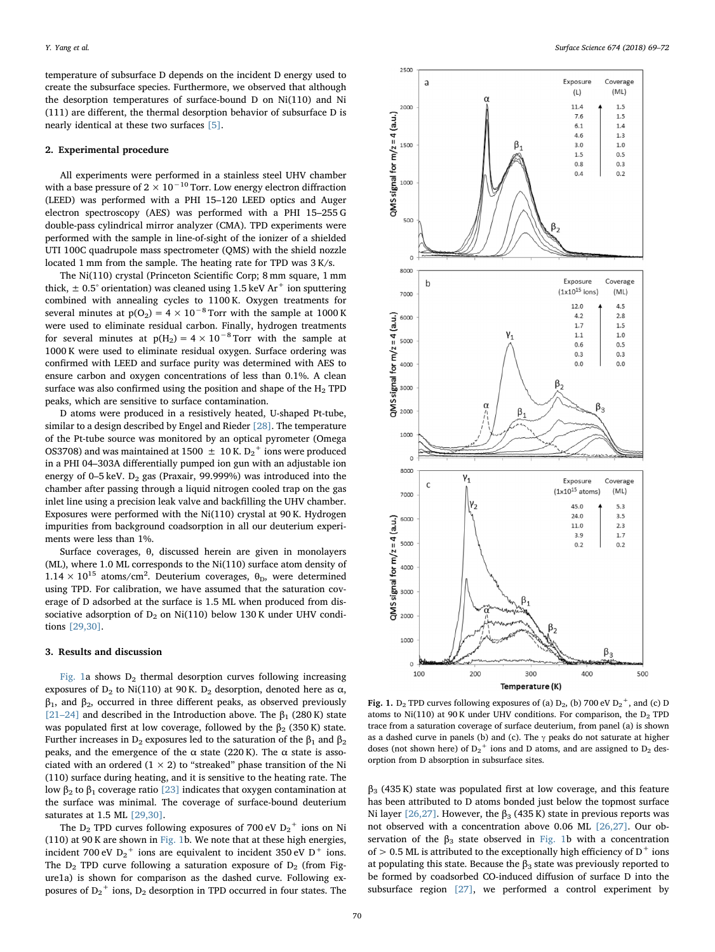temperature of subsurface D depends on the incident D energy used to create the subsurface species. Furthermore, we observed that although the desorption temperatures of surface-bound D on Ni(110) and Ni (111) are different, the thermal desorption behavior of subsurface D is nearly identical at these two surfaces [\[5\]](#page-3-4).

## 2. Experimental procedure

All experiments were performed in a stainless steel UHV chamber with a base pressure of 2  $\times$  10<sup>-10</sup> Torr. Low energy electron diffraction (LEED) was performed with a PHI 15–120 LEED optics and Auger electron spectroscopy (AES) was performed with a PHI 15–255 G double-pass cylindrical mirror analyzer (CMA). TPD experiments were performed with the sample in line-of-sight of the ionizer of a shielded UTI 100C quadrupole mass spectrometer (QMS) with the shield nozzle located 1 mm from the sample. The heating rate for TPD was 3 K/s.

The Ni(110) crystal (Princeton Scientific Corp; 8 mm square, 1 mm thick,  $\pm$  0.5° orientation) was cleaned using 1.5 keV Ar<sup>+</sup> ion sputtering combined with annealing cycles to 1100 K. Oxygen treatments for several minutes at  $p(O_2) = 4 \times 10^{-8}$  Torr with the sample at 1000 K were used to eliminate residual carbon. Finally, hydrogen treatments for several minutes at  $p(H_2) = 4 \times 10^{-8}$  Torr with the sample at 1000 K were used to eliminate residual oxygen. Surface ordering was confirmed with LEED and surface purity was determined with AES to ensure carbon and oxygen concentrations of less than 0.1%. A clean surface was also confirmed using the position and shape of the  $H_2$  TPD peaks, which are sensitive to surface contamination.

D atoms were produced in a resistively heated, U-shaped Pt-tube, similar to a design described by Engel and Rieder [\[28\]](#page-3-16). The temperature of the Pt-tube source was monitored by an optical pyrometer (Omega OS3708) and was maintained at 1500  $\,\pm\,$  10 K. D $_2^+$  ions were produced in a PHI 04–303A differentially pumped ion gun with an adjustable ion energy of  $0-5$  keV.  $D_2$  gas (Praxair, 99.999%) was introduced into the chamber after passing through a liquid nitrogen cooled trap on the gas inlet line using a precision leak valve and backfilling the UHV chamber. Exposures were performed with the Ni(110) crystal at 90 K. Hydrogen impurities from background coadsorption in all our deuterium experiments were less than 1%.

Surface coverages, θ, discussed herein are given in monolayers (ML), where 1.0 ML corresponds to the Ni(110) surface atom density of  $1.14 \times 10^{15}$  atoms/cm<sup>2</sup>. Deuterium coverages,  $\theta_{\rm D}$ , were determined using TPD. For calibration, we have assumed that the saturation coverage of D adsorbed at the surface is 1.5 ML when produced from dissociative adsorption of  $D_2$  on Ni(110) below 130 K under UHV conditions [\[29,30\]](#page-3-17).

#### 3. Results and discussion

[Fig. 1](#page-1-0)a shows  $D_2$  thermal desorption curves following increasing exposures of  $D_2$  to Ni(110) at 90 K.  $D_2$  desorption, denoted here as  $\alpha$ ,  $\beta_1$ , and  $\beta_2$ , occurred in three different peaks, as observed previously [21–[24\]](#page-3-10) and described in the Introduction above. The  $\beta_1$  (280 K) state was populated first at low coverage, followed by the  $\beta_2$  (350 K) state. Further increases in D<sub>2</sub> exposures led to the saturation of the  $β_1$  and  $β_2$ peaks, and the emergence of the  $\alpha$  state (220 K). The  $\alpha$  state is associated with an ordered  $(1 \times 2)$  to "streaked" phase transition of the Ni (110) surface during heating, and it is sensitive to the heating rate. The low β<sub>2</sub> to β<sub>1</sub> coverage ratio [\[23\]](#page-3-18) indicates that oxygen contamination at the surface was minimal. The coverage of surface-bound deuterium saturates at 1.5 ML [\[29,30\].](#page-3-17)

The  $\mathbf{D}_2$  TPD curves following exposures of 700 eV  $\mathbf{D_2}^+$  ions on Ni (110) at 90 K are shown in [Fig. 1](#page-1-0)b. We note that at these high energies, incident 700 eV  $D_2^+$  ions are equivalent to incident 350 eV  $D^+$  ions. The  $D_2$  TPD curve following a saturation exposure of  $D_2$  (from Figure1a) is shown for comparison as the dashed curve. Following exposures of  $D_2^+$  ions,  $D_2$  desorption in TPD occurred in four states. The

<span id="page-1-0"></span>

Fig. 1.  $D_2$  TPD curves following exposures of (a)  $D_2$ , (b) 700 eV  $D_2^+$ , and (c) D atoms to Ni(110) at 90 K under UHV conditions. For comparison, the  $D_2$  TPD trace from a saturation coverage of surface deuterium, from panel (a) is shown as a dashed curve in panels (b) and (c). The  $\gamma$  peaks do not saturate at higher doses (not shown here) of  $D_2$ <sup>+</sup> ions and D atoms, and are assigned to  $D_2$  desorption from D absorption in subsurface sites.

 $\beta$ <sub>3</sub> (435 K) state was populated first at low coverage, and this feature has been attributed to D atoms bonded just below the topmost surface Ni layer [\[26,27\].](#page-3-12) However, the  $β_3$  (435 K) state in previous reports was not observed with a concentration above 0.06 ML [\[26,27\]](#page-3-12). Our observation of the  $\beta_3$  state observed in [Fig. 1b](#page-1-0) with a concentration of  $>0.5$  ML is attributed to the exceptionally high efficiency of  $\rm D^+$  ions at populating this state. Because the  $\beta_3$  state was previously reported to be formed by coadsorbed CO-induced diffusion of surface D into the subsurface region [\[27\]](#page-3-14), we performed a control experiment by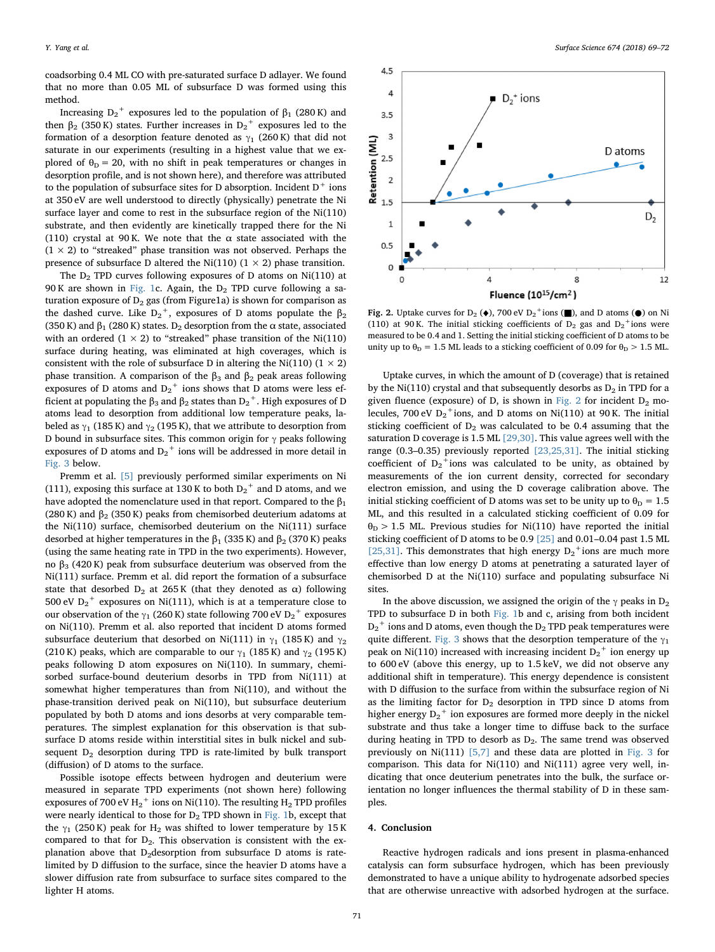coadsorbing 0.4 ML CO with pre-saturated surface D adlayer. We found that no more than 0.05 ML of subsurface D was formed using this method.

Increasing  $D_2^+$  exposures led to the population of  $β_1$  (280 K) and then  $β_2$  (350 K) states. Further increases in  $D_2^+$  exposures led to the formation of a desorption feature denoted as  $\gamma_1$  (260 K) that did not saturate in our experiments (resulting in a highest value that we explored of  $\theta_{\text{D}} = 20$ , with no shift in peak temperatures or changes in desorption profile, and is not shown here), and therefore was attributed to the population of subsurface sites for D absorption. Incident  $D^+$  ions at 350 eV are well understood to directly (physically) penetrate the Ni surface layer and come to rest in the subsurface region of the Ni(110) substrate, and then evidently are kinetically trapped there for the Ni (110) crystal at 90 K. We note that the  $\alpha$  state associated with the  $(1 \times 2)$  to "streaked" phase transition was not observed. Perhaps the presence of subsurface D altered the Ni(110) ( $1 \times 2$ ) phase transition.

The  $D_2$  TPD curves following exposures of D atoms on Ni(110) at 90 K are shown in [Fig. 1c](#page-1-0). Again, the  $D_2$  TPD curve following a saturation exposure of  $D_2$  gas (from Figure1a) is shown for comparison as the dashed curve. Like  $D_2^+$ , exposures of D atoms populate the  $\beta_2$ (350 K) and  $\beta_1$  (280 K) states. D<sub>2</sub> desorption from the  $\alpha$  state, associated with an ordered  $(1 \times 2)$  to "streaked" phase transition of the Ni $(110)$ surface during heating, was eliminated at high coverages, which is consistent with the role of subsurface D in altering the Ni(110) ( $1 \times 2$ ) phase transition. A comparison of the  $β_3$  and  $β_2$  peak areas following exposures of D atoms and  $D_2^+$  ions shows that D atoms were less efficient at populating the  $\beta_3$  and  $\beta_2$  states than  $\mathrm{D_2}^+$ . High exposures of D atoms lead to desorption from additional low temperature peaks, labeled as  $\gamma_1$  (185 K) and  $\gamma_2$  (195 K), that we attribute to desorption from D bound in subsurface sites. This common origin for  $\gamma$  peaks following exposures of D atoms and  $D_2^+$  ions will be addressed in more detail in [Fig. 3](#page-3-19) below.

Premm et al. [\[5\]](#page-3-4) previously performed similar experiments on Ni (111), exposing this surface at 130 K to both  $D_2^+$  and D atoms, and we have adopted the nomenclature used in that report. Compared to the  $\beta_1$ (280 K) and  $\beta_2$  (350 K) peaks from chemisorbed deuterium adatoms at the Ni(110) surface, chemisorbed deuterium on the Ni(111) surface desorbed at higher temperatures in the  $β_1$  (335 K) and  $β_2$  (370 K) peaks (using the same heating rate in TPD in the two experiments). However, no  $β_3$  (420 K) peak from subsurface deuterium was observed from the Ni(111) surface. Premm et al. did report the formation of a subsurface state that desorbed  $D_2$  at 265 K (that they denoted as  $\alpha$ ) following 500 eV  $D_2^+$  exposures on Ni(111), which is at a temperature close to our observation of the  $\gamma_1$  (260 K) state following 700 eV  $\text{D}_2{}^+$  exposures on Ni(110). Premm et al. also reported that incident D atoms formed subsurface deuterium that desorbed on Ni(111) in  $\gamma_1$  (185 K) and  $\gamma_2$ (210 K) peaks, which are comparable to our  $\gamma_1$  (185 K) and  $\gamma_2$  (195 K) peaks following D atom exposures on Ni(110). In summary, chemisorbed surface-bound deuterium desorbs in TPD from Ni(111) at somewhat higher temperatures than from Ni(110), and without the phase-transition derived peak on Ni(110), but subsurface deuterium populated by both D atoms and ions desorbs at very comparable temperatures. The simplest explanation for this observation is that subsurface D atoms reside within interstitial sites in bulk nickel and subsequent  $D_2$  desorption during TPD is rate-limited by bulk transport (diffusion) of D atoms to the surface.

Possible isotope effects between hydrogen and deuterium were measured in separate TPD experiments (not shown here) following exposures of 700 eV  $\rm{H_2}^+$  ions on Ni(110). The resulting  $\rm{H_2}$  TPD profiles were nearly identical to those for  $D_2$  TPD shown in [Fig. 1](#page-1-0)b, except that the  $\gamma_1$  (250 K) peak for H<sub>2</sub> was shifted to lower temperature by 15 K compared to that for  $D_2$ . This observation is consistent with the explanation above that  $D_2$ desorption from subsurface D atoms is ratelimited by D diffusion to the surface, since the heavier D atoms have a slower diffusion rate from subsurface to surface sites compared to the lighter H atoms.

<span id="page-2-0"></span>

Fig. 2. Uptake curves for  $D_2$  ( $\bullet$ ), 700 eV  $D_2^+$ ions ( $\Box$ ), and D atoms ( $\Diamond$ ) on Ni (110) at 90 K. The initial sticking coefficients of  $D_2$  gas and  $D_2$ <sup>+</sup>ions were measured to be 0.4 and 1. Setting the initial sticking coefficient of D atoms to be unity up to  $\theta_D = 1.5$  ML leads to a sticking coefficient of 0.09 for  $\theta_D > 1.5$  ML.

Uptake curves, in which the amount of D (coverage) that is retained by the Ni(110) crystal and that subsequently desorbs as  $D_2$  in TPD for a given fluence (exposure) of D, is shown in [Fig. 2](#page-2-0) for incident  $D_2$  molecules, 700 eV  $D_2$ <sup>+</sup>ions, and D atoms on Ni(110) at 90 K. The initial sticking coefficient of  $D_2$  was calculated to be 0.4 assuming that the saturation D coverage is 1.5 ML [\[29,30\].](#page-3-17) This value agrees well with the range (0.3–0.35) previously reported [\[23,25,31\].](#page-3-18) The initial sticking coefficient of  $D_2$ <sup>+</sup>ions was calculated to be unity, as obtained by measurements of the ion current density, corrected for secondary electron emission, and using the D coverage calibration above. The initial sticking coefficient of D atoms was set to be unity up to  $\theta_{\rm D} = 1.5$ ML, and this resulted in a calculated sticking coefficient of 0.09 for  $\theta_{\rm D}$  > 1.5 ML. Previous studies for Ni(110) have reported the initial sticking coefficient of D atoms to be 0.9 [\[25\]](#page-3-13) and 0.01–0.04 past 1.5 ML [\[25,31\].](#page-3-13) This demonstrates that high energy  $D_2$ <sup>+</sup>ions are much more effective than low energy D atoms at penetrating a saturated layer of chemisorbed D at the Ni(110) surface and populating subsurface Ni sites.

In the above discussion, we assigned the origin of the  $\gamma$  peaks in D<sub>2</sub> TPD to subsurface D in both [Fig. 1b](#page-1-0) and c, arising from both incident  $\mathbf{D_2}^+$ ions and D atoms, even though the  $\mathbf{D_2}$  TPD peak temperatures were quite different. [Fig. 3](#page-3-19) shows that the desorption temperature of the  $\gamma_1$ peak on Ni(110) increased with increasing incident  $\rm D_2^+$  ion energy up to 600 eV (above this energy, up to 1.5 keV, we did not observe any additional shift in temperature). This energy dependence is consistent with D diffusion to the surface from within the subsurface region of Ni as the limiting factor for  $D_2$  desorption in TPD since D atoms from higher energy  $D_2^+$  ion exposures are formed more deeply in the nickel substrate and thus take a longer time to diffuse back to the surface during heating in TPD to desorb as  $D_2$ . The same trend was observed previously on Ni(111) [\[5,7\]](#page-3-4) and these data are plotted in [Fig. 3](#page-3-19) for comparison. This data for Ni(110) and Ni(111) agree very well, indicating that once deuterium penetrates into the bulk, the surface orientation no longer influences the thermal stability of D in these samples.

#### 4. Conclusion

Reactive hydrogen radicals and ions present in plasma-enhanced catalysis can form subsurface hydrogen, which has been previously demonstrated to have a unique ability to hydrogenate adsorbed species that are otherwise unreactive with adsorbed hydrogen at the surface.